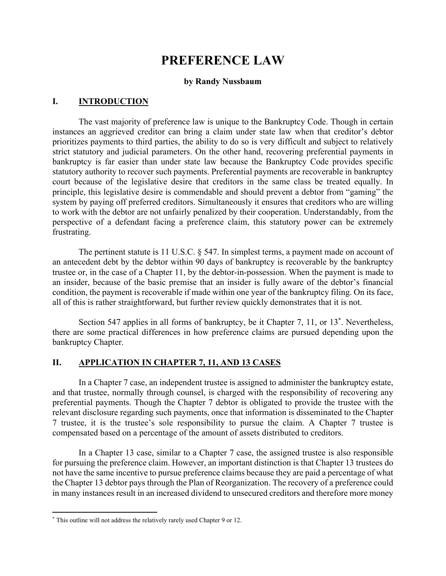# **PREFERENCE LAW**

#### **by Randy Nussbaum**

#### **I. INTRODUCTION**

 The vast majority of preference law is unique to the Bankruptcy Code. Though in certain instances an aggrieved creditor can bring a claim under state law when that creditor's debtor prioritizes payments to third parties, the ability to do so is very difficult and subject to relatively strict statutory and judicial parameters. On the other hand, recovering preferential payments in bankruptcy is far easier than under state law because the Bankruptcy Code provides specific statutory authority to recover such payments. Preferential payments are recoverable in bankruptcy court because of the legislative desire that creditors in the same class be treated equally. In principle, this legislative desire is commendable and should prevent a debtor from "gaming" the system by paying off preferred creditors. Simultaneously it ensures that creditors who are willing to work with the debtor are not unfairly penalized by their cooperation. Understandably, from the perspective of a defendant facing a preference claim, this statutory power can be extremely frustrating.

The pertinent statute is 11 U.S.C. § 547. In simplest terms, a payment made on account of an antecedent debt by the debtor within 90 days of bankruptcy is recoverable by the bankruptcy trustee or, in the case of a Chapter 11, by the debtor-in-possession. When the payment is made to an insider, because of the basic premise that an insider is fully aware of the debtor's financial condition, the payment is recoverable if made within one year of the bankruptcy filing. On its face, all of this is rather straightforward, but further review quickly demonstrates that it is not.

Section 547 applies in all forms of bankruptcy, be it Chapter 7, 11, or 13<sup>\*</sup>. Nevertheless, there are some practical differences in how preference claims are pursued depending upon the bankruptcy Chapter.

#### **II. APPLICATION IN CHAPTER 7, 11, AND 13 CASES**

 In a Chapter 7 case, an independent trustee is assigned to administer the bankruptcy estate, and that trustee, normally through counsel, is charged with the responsibility of recovering any preferential payments. Though the Chapter 7 debtor is obligated to provide the trustee with the relevant disclosure regarding such payments, once that information is disseminated to the Chapter 7 trustee, it is the trustee's sole responsibility to pursue the claim. A Chapter 7 trustee is compensated based on a percentage of the amount of assets distributed to creditors.

 In a Chapter 13 case, similar to a Chapter 7 case, the assigned trustee is also responsible for pursuing the preference claim. However, an important distinction is that Chapter 13 trustees do not have the same incentive to pursue preference claims because they are paid a percentage of what the Chapter 13 debtor pays through the Plan of Reorganization. The recovery of a preference could in many instances result in an increased dividend to unsecured creditors and therefore more money

<sup>\*</sup> This outline will not address the relatively rarely used Chapter 9 or 12.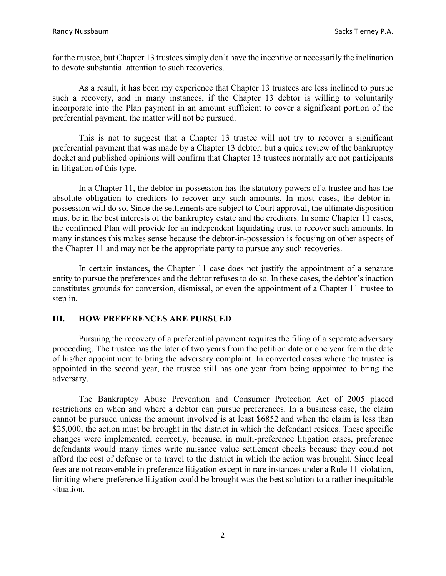for the trustee, but Chapter 13 trustees simply don't have the incentive or necessarily the inclination to devote substantial attention to such recoveries.

 As a result, it has been my experience that Chapter 13 trustees are less inclined to pursue such a recovery, and in many instances, if the Chapter 13 debtor is willing to voluntarily incorporate into the Plan payment in an amount sufficient to cover a significant portion of the preferential payment, the matter will not be pursued.

 This is not to suggest that a Chapter 13 trustee will not try to recover a significant preferential payment that was made by a Chapter 13 debtor, but a quick review of the bankruptcy docket and published opinions will confirm that Chapter 13 trustees normally are not participants in litigation of this type.

 In a Chapter 11, the debtor-in-possession has the statutory powers of a trustee and has the absolute obligation to creditors to recover any such amounts. In most cases, the debtor-inpossession will do so. Since the settlements are subject to Court approval, the ultimate disposition must be in the best interests of the bankruptcy estate and the creditors. In some Chapter 11 cases, the confirmed Plan will provide for an independent liquidating trust to recover such amounts. In many instances this makes sense because the debtor-in-possession is focusing on other aspects of the Chapter 11 and may not be the appropriate party to pursue any such recoveries.

 In certain instances, the Chapter 11 case does not justify the appointment of a separate entity to pursue the preferences and the debtor refuses to do so. In these cases, the debtor's inaction constitutes grounds for conversion, dismissal, or even the appointment of a Chapter 11 trustee to step in.

# **III. HOW PREFERENCES ARE PURSUED**

 Pursuing the recovery of a preferential payment requires the filing of a separate adversary proceeding. The trustee has the later of two years from the petition date or one year from the date of his/her appointment to bring the adversary complaint. In converted cases where the trustee is appointed in the second year, the trustee still has one year from being appointed to bring the adversary.

 The Bankruptcy Abuse Prevention and Consumer Protection Act of 2005 placed restrictions on when and where a debtor can pursue preferences. In a business case, the claim cannot be pursued unless the amount involved is at least \$6852 and when the claim is less than \$25,000, the action must be brought in the district in which the defendant resides. These specific changes were implemented, correctly, because, in multi-preference litigation cases, preference defendants would many times write nuisance value settlement checks because they could not afford the cost of defense or to travel to the district in which the action was brought. Since legal fees are not recoverable in preference litigation except in rare instances under a Rule 11 violation, limiting where preference litigation could be brought was the best solution to a rather inequitable situation.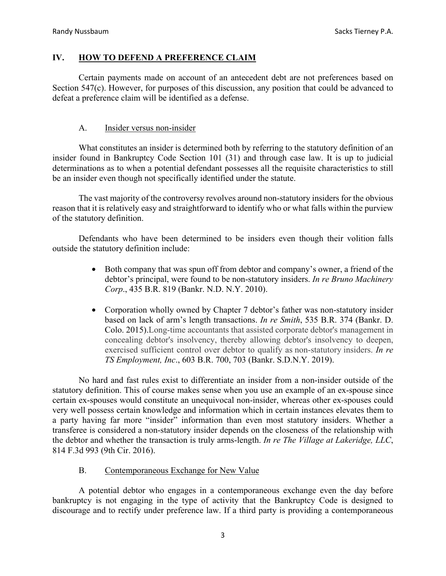## **IV. HOW TO DEFEND A PREFERENCE CLAIM**

 Certain payments made on account of an antecedent debt are not preferences based on Section 547(c). However, for purposes of this discussion, any position that could be advanced to defeat a preference claim will be identified as a defense.

## A. Insider versus non-insider

 What constitutes an insider is determined both by referring to the statutory definition of an insider found in Bankruptcy Code Section 101 (31) and through case law. It is up to judicial determinations as to when a potential defendant possesses all the requisite characteristics to still be an insider even though not specifically identified under the statute.

 The vast majority of the controversy revolves around non-statutory insiders for the obvious reason that it is relatively easy and straightforward to identify who or what falls within the purview of the statutory definition.

 Defendants who have been determined to be insiders even though their volition falls outside the statutory definition include:

- Both company that was spun off from debtor and company's owner, a friend of the debtor's principal, were found to be non-statutory insiders. *In re Bruno Machinery Corp*., 435 B.R. 819 (Bankr. N.D. N.Y. 2010).
- Corporation wholly owned by Chapter 7 debtor's father was non-statutory insider based on lack of arm's length transactions. *In re Smith*, 535 B.R. 374 (Bankr. D. Colo. 2015).Long-time accountants that assisted corporate debtor's management in concealing debtor's insolvency, thereby allowing debtor's insolvency to deepen, exercised sufficient control over debtor to qualify as non-statutory insiders. *In re TS Employment, Inc*., 603 B.R. 700, 703 (Bankr. S.D.N.Y. 2019).

 No hard and fast rules exist to differentiate an insider from a non-insider outside of the statutory definition. This of course makes sense when you use an example of an ex-spouse since certain ex-spouses would constitute an unequivocal non-insider, whereas other ex-spouses could very well possess certain knowledge and information which in certain instances elevates them to a party having far more "insider" information than even most statutory insiders. Whether a transferee is considered a non-statutory insider depends on the closeness of the relationship with the debtor and whether the transaction is truly arms-length. *In re The Village at Lakeridge, LLC*, 814 F.3d 993 (9th Cir. 2016).

#### B. Contemporaneous Exchange for New Value

 A potential debtor who engages in a contemporaneous exchange even the day before bankruptcy is not engaging in the type of activity that the Bankruptcy Code is designed to discourage and to rectify under preference law. If a third party is providing a contemporaneous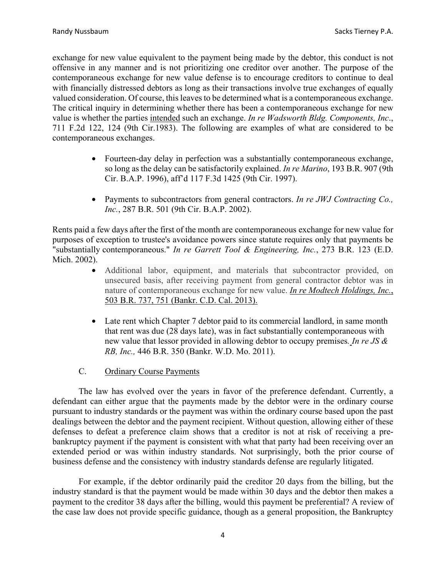exchange for new value equivalent to the payment being made by the debtor, this conduct is not offensive in any manner and is not prioritizing one creditor over another. The purpose of the contemporaneous exchange for new value defense is to encourage creditors to continue to deal with financially distressed debtors as long as their transactions involve true exchanges of equally valued consideration. Of course, this leaves to be determined what is a contemporaneous exchange. The critical inquiry in determining whether there has been a contemporaneous exchange for new value is whether the parties intended such an exchange. *In re Wadsworth Bldg. Components, Inc*., 711 F.2d 122, 124 (9th Cir.1983). The following are examples of what are considered to be contemporaneous exchanges.

- Fourteen-day delay in perfection was a substantially contemporaneous exchange, so long as the delay can be satisfactorily explained. *In re Marino*, 193 B.R. 907 (9th Cir. B.A.P. 1996), aff'd 117 F.3d 1425 (9th Cir. 1997).
- Payments to subcontractors from general contractors. *In re JWJ Contracting Co., Inc.*, 287 B.R. 501 (9th Cir. B.A.P. 2002).

Rents paid a few days after the first of the month are contemporaneous exchange for new value for purposes of exception to trustee's avoidance powers since statute requires only that payments be "substantially contemporaneous." *In re Garrett Tool & Engineering, Inc.*, 273 B.R. 123 (E.D. Mich. 2002).

- Additional labor, equipment, and materials that subcontractor provided, on unsecured basis, after receiving payment from general contractor debtor was in nature of contemporaneous exchange for new value. *In re Modtech Holdings, Inc.*, 503 B.R. 737, 751 (Bankr. C.D. Cal. 2013).
- Late rent which Chapter 7 debtor paid to its commercial landlord, in same month that rent was due (28 days late), was in fact substantially contemporaneous with new value that lessor provided in allowing debtor to occupy premises*. In re JS & RB, Inc.,* 446 B.R. 350 (Bankr. W.D. Mo. 2011).
- C. Ordinary Course Payments

 The law has evolved over the years in favor of the preference defendant. Currently, a defendant can either argue that the payments made by the debtor were in the ordinary course pursuant to industry standards or the payment was within the ordinary course based upon the past dealings between the debtor and the payment recipient. Without question, allowing either of these defenses to defeat a preference claim shows that a creditor is not at risk of receiving a prebankruptcy payment if the payment is consistent with what that party had been receiving over an extended period or was within industry standards. Not surprisingly, both the prior course of business defense and the consistency with industry standards defense are regularly litigated.

 For example, if the debtor ordinarily paid the creditor 20 days from the billing, but the industry standard is that the payment would be made within 30 days and the debtor then makes a payment to the creditor 38 days after the billing, would this payment be preferential? A review of the case law does not provide specific guidance, though as a general proposition, the Bankruptcy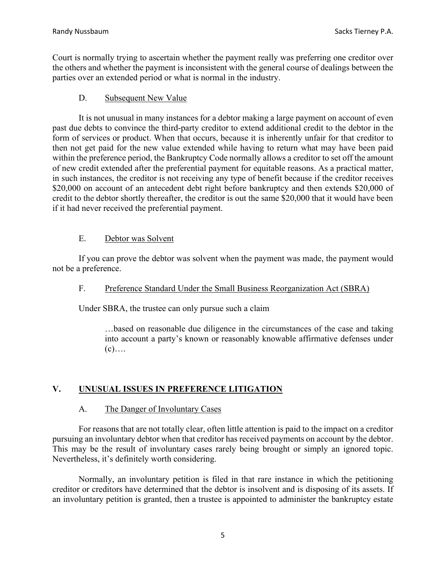Court is normally trying to ascertain whether the payment really was preferring one creditor over the others and whether the payment is inconsistent with the general course of dealings between the parties over an extended period or what is normal in the industry.

#### D. Subsequent New Value

 It is not unusual in many instances for a debtor making a large payment on account of even past due debts to convince the third-party creditor to extend additional credit to the debtor in the form of services or product. When that occurs, because it is inherently unfair for that creditor to then not get paid for the new value extended while having to return what may have been paid within the preference period, the Bankruptcy Code normally allows a creditor to set off the amount of new credit extended after the preferential payment for equitable reasons. As a practical matter, in such instances, the creditor is not receiving any type of benefit because if the creditor receives \$20,000 on account of an antecedent debt right before bankruptcy and then extends \$20,000 of credit to the debtor shortly thereafter, the creditor is out the same \$20,000 that it would have been if it had never received the preferential payment.

#### E. Debtor was Solvent

 If you can prove the debtor was solvent when the payment was made, the payment would not be a preference.

#### F. Preference Standard Under the Small Business Reorganization Act (SBRA)

Under SBRA, the trustee can only pursue such a claim

…based on reasonable due diligence in the circumstances of the case and taking into account a party's known or reasonably knowable affirmative defenses under  $(c)$ ….

# **V. UNUSUAL ISSUES IN PREFERENCE LITIGATION**

#### A. The Danger of Involuntary Cases

 For reasons that are not totally clear, often little attention is paid to the impact on a creditor pursuing an involuntary debtor when that creditor has received payments on account by the debtor. This may be the result of involuntary cases rarely being brought or simply an ignored topic. Nevertheless, it's definitely worth considering.

 Normally, an involuntary petition is filed in that rare instance in which the petitioning creditor or creditors have determined that the debtor is insolvent and is disposing of its assets. If an involuntary petition is granted, then a trustee is appointed to administer the bankruptcy estate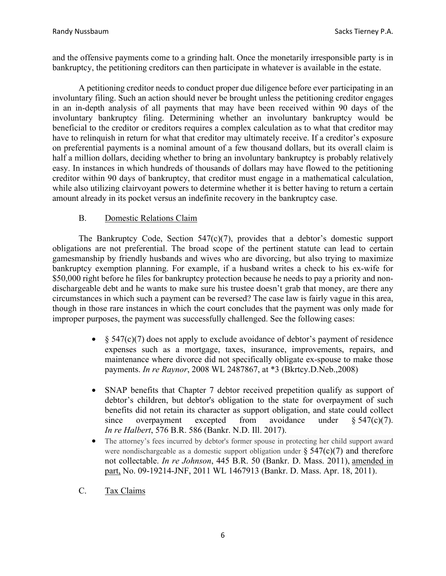and the offensive payments come to a grinding halt. Once the monetarily irresponsible party is in bankruptcy, the petitioning creditors can then participate in whatever is available in the estate.

 A petitioning creditor needs to conduct proper due diligence before ever participating in an involuntary filing. Such an action should never be brought unless the petitioning creditor engages in an in-depth analysis of all payments that may have been received within 90 days of the involuntary bankruptcy filing. Determining whether an involuntary bankruptcy would be beneficial to the creditor or creditors requires a complex calculation as to what that creditor may have to relinquish in return for what that creditor may ultimately receive. If a creditor's exposure on preferential payments is a nominal amount of a few thousand dollars, but its overall claim is half a million dollars, deciding whether to bring an involuntary bankruptcy is probably relatively easy. In instances in which hundreds of thousands of dollars may have flowed to the petitioning creditor within 90 days of bankruptcy, that creditor must engage in a mathematical calculation, while also utilizing clairvoyant powers to determine whether it is better having to return a certain amount already in its pocket versus an indefinite recovery in the bankruptcy case.

## B. Domestic Relations Claim

 The Bankruptcy Code, Section 547(c)(7), provides that a debtor's domestic support obligations are not preferential. The broad scope of the pertinent statute can lead to certain gamesmanship by friendly husbands and wives who are divorcing, but also trying to maximize bankruptcy exemption planning. For example, if a husband writes a check to his ex-wife for \$50,000 right before he files for bankruptcy protection because he needs to pay a priority and nondischargeable debt and he wants to make sure his trustee doesn't grab that money, are there any circumstances in which such a payment can be reversed? The case law is fairly vague in this area, though in those rare instances in which the court concludes that the payment was only made for improper purposes, the payment was successfully challenged. See the following cases:

- $§$  547(c)(7) does not apply to exclude avoidance of debtor's payment of residence expenses such as a mortgage, taxes, insurance, improvements, repairs, and maintenance where divorce did not specifically obligate ex-spouse to make those payments. *In re Raynor*, 2008 WL 2487867, at \*3 (Bkrtcy.D.Neb.,2008)
- SNAP benefits that Chapter 7 debtor received prepetition qualify as support of debtor's children, but debtor's obligation to the state for overpayment of such benefits did not retain its character as support obligation, and state could collect since overpayment excepted from avoidance under  $§ 547(c)(7)$ . *In re Halbert*, 576 B.R. 586 (Bankr. N.D. Ill. 2017).
- The attorney's fees incurred by debtor's former spouse in protecting her child support award were nondischargeable as a domestic support obligation under  $\S$  547(c)(7) and therefore not collectable. *In re Johnson*, 445 B.R. 50 (Bankr. D. Mass. 2011), amended in part, No. 09-19214-JNF, 2011 WL 1467913 (Bankr. D. Mass. Apr. 18, 2011).
- C. Tax Claims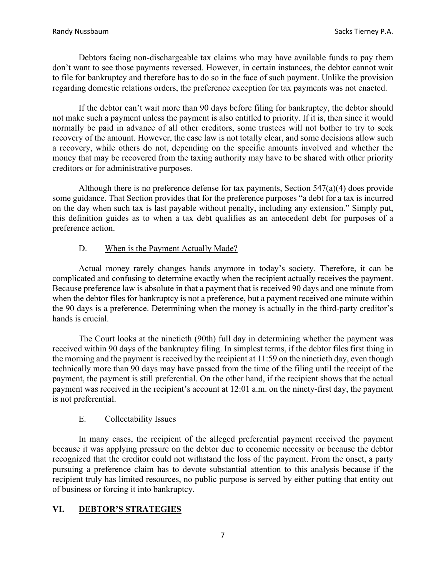Debtors facing non-dischargeable tax claims who may have available funds to pay them don't want to see those payments reversed. However, in certain instances, the debtor cannot wait to file for bankruptcy and therefore has to do so in the face of such payment. Unlike the provision regarding domestic relations orders, the preference exception for tax payments was not enacted.

 If the debtor can't wait more than 90 days before filing for bankruptcy, the debtor should not make such a payment unless the payment is also entitled to priority. If it is, then since it would normally be paid in advance of all other creditors, some trustees will not bother to try to seek recovery of the amount. However, the case law is not totally clear, and some decisions allow such a recovery, while others do not, depending on the specific amounts involved and whether the money that may be recovered from the taxing authority may have to be shared with other priority creditors or for administrative purposes.

 Although there is no preference defense for tax payments, Section 547(a)(4) does provide some guidance. That Section provides that for the preference purposes "a debt for a tax is incurred on the day when such tax is last payable without penalty, including any extension." Simply put, this definition guides as to when a tax debt qualifies as an antecedent debt for purposes of a preference action.

# D. When is the Payment Actually Made?

 Actual money rarely changes hands anymore in today's society. Therefore, it can be complicated and confusing to determine exactly when the recipient actually receives the payment. Because preference law is absolute in that a payment that is received 90 days and one minute from when the debtor files for bankruptcy is not a preference, but a payment received one minute within the 90 days is a preference. Determining when the money is actually in the third-party creditor's hands is crucial.

 The Court looks at the ninetieth (90th) full day in determining whether the payment was received within 90 days of the bankruptcy filing. In simplest terms, if the debtor files first thing in the morning and the payment is received by the recipient at 11:59 on the ninetieth day, even though technically more than 90 days may have passed from the time of the filing until the receipt of the payment, the payment is still preferential. On the other hand, if the recipient shows that the actual payment was received in the recipient's account at 12:01 a.m. on the ninety-first day, the payment is not preferential.

# E. Collectability Issues

 In many cases, the recipient of the alleged preferential payment received the payment because it was applying pressure on the debtor due to economic necessity or because the debtor recognized that the creditor could not withstand the loss of the payment. From the onset, a party pursuing a preference claim has to devote substantial attention to this analysis because if the recipient truly has limited resources, no public purpose is served by either putting that entity out of business or forcing it into bankruptcy.

# **VI. DEBTOR'S STRATEGIES**